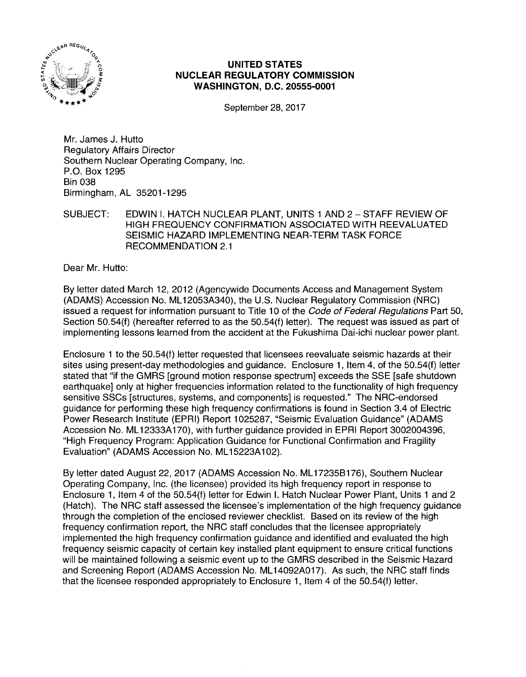

# **UNITED STATES NUCLEAR REGULATORY COMMISSION WASHINGTON, D.C. 20555-0001**

September 28, 2017

Mr. James J. Hutto Regulatory Affairs Director Southern Nuclear Operating Company, Inc. P.O. Box 1295 Bin 038 Birmingham, AL 35201-1295

SUBJECT: EDWIN I. HATCH NUCLEAR PLANT, UNITS 1AND2- STAFF REVIEW OF HIGH FREQUENCY CONFIRMATION ASSOCIATED WITH REEVALUATED SEISMIC HAZARD IMPLEMENTING NEAR-TERM TASK FORCE RECOMMENDATION 2.1

Dear Mr. Hutto:

By letter dated March 12, 2012 (Agencywide Documents Access and Management System (ADAMS) Accession No. ML 12053A340), the U.S. Nuclear Regulatory Commission (NRC) issued a request for information pursuant to Title 10 of the Code of Federal Regulations Part 50, Section 50.54(f) (hereafter referred to as the 50.54(f) letter). The request was issued as part of implementing lessons learned from the accident at the Fukushima Dai-ichi nuclear power plant.

Enclosure 1 to the 50.54(f) letter requested that licensees reevaluate seismic hazards at their sites using present-day methodologies and guidance. Enclosure 1, Item 4, of the 50.54(f) letter stated that "if the GMRS [ground motion response spectrum] exceeds the SSE [safe shutdown earthquake] only at higher frequencies information related to the functionality of high frequency sensitive SSCs [structures, systems, and components] is requested." The NRG-endorsed guidance for performing these high frequency confirmations is found in Section 3.4 of Electric Power Research Institute (EPRI) Report 1025287, "Seismic Evaluation Guidance" (ADAMS Accession No. ML 12333A 170), with further guidance provided in EPRI Report 3002004396, "High Frequency Program: Application Guidance for Functional Confirmation and Fragility Evaluation" (ADAMS Accession No. ML 15223A 102).

By letter dated August 22, 2017 (ADAMS Accession No. ML 17235B176), Southern Nuclear Operating Company, Inc. (the licensee) provided its high frequency report in response to Enclosure 1, Item 4 of the 50.54(f) letter for Edwin I. Hatch Nuclear Power Plant, Units 1 and 2 (Hatch). The NRC staff assessed the licensee's implementation of the high frequency guidance through the completion of the enclosed reviewer checklist. Based on its review of the high frequency confirmation report, the NRC staff concludes that the licensee appropriately implemented the high frequency confirmation guidance and identified and evaluated the high frequency seismic capacity of certain key installed plant equipment to ensure critical functions will be maintained following a seismic event up to the GMRS described in the Seismic Hazard and Screening Report (ADAMS Accession No. ML 14092A017). As such, the NRC staff finds that the licensee responded appropriately to Enclosure 1, Item 4 of the 50.54(f) letter.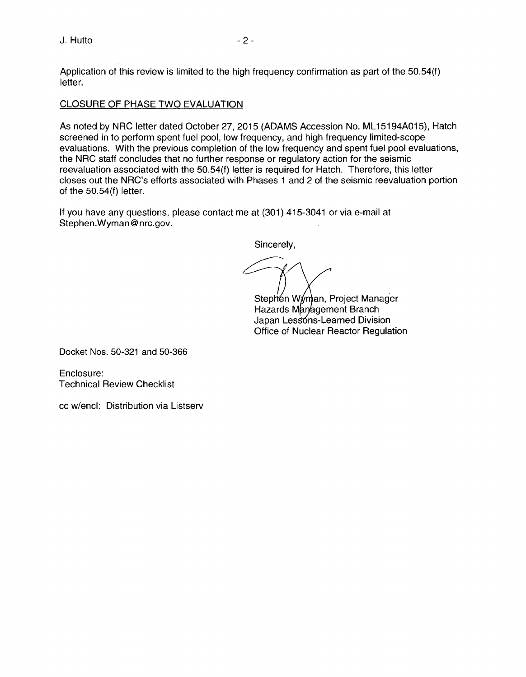Application of this review is limited to the high frequency confirmation as part of the 50.54(f) letter.

### CLOSURE OF PHASE TWO EVALUATION

As noted by NRC letter dated October 27, 2015 (ADAMS Accession No. ML 15194A015}, Hatch screened in to perform spent fuel pool, low frequency, and high frequency limited-scope evaluations. With the previous completion of the low frequency and spent fuel pool evaluations, the NRC staff concludes that no further response or regulatory action for the seismic reevaluation associated with the 50.54(f) letter is required for Hatch. Therefore, this letter closes out the NRC's efforts associated with Phases 1 and 2 of the seismic reevaluation portion of the 50.54(f) letter.

If you have any questions, please contact me at (301) 415-3041 or via e-mail at Stephen.Wyman@nrc.gov.

Sincerely,

*?-'/* 

Stephen Wyman, Project Manager Hazards Management Branch Japan Lessons-Learned Division Office of Nuclear Reactor Regulation

Docket Nos. 50-321 and 50-366

Enclosure: Technical Review Checklist

cc w/encl: Distribution via Listserv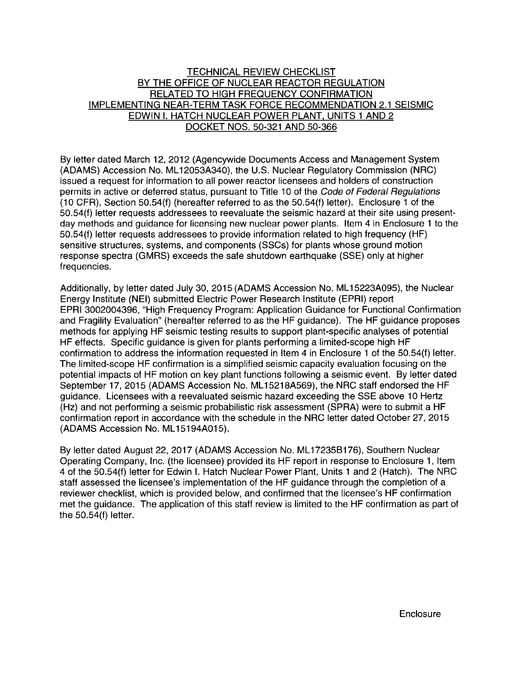## TECHNICAL REVIEW CHECKLIST BY THE OFFICE OF NUCLEAR REACTOR REGULATION RELATED TO HIGH FREQUENCY CONFIRMATION IMPLEMENTING NEAR-TERM TASK FORCE RECOMMENDATION 2.1 SEISMIC EDWIN I. HATCH NUCLEAR POWER PLANT. UNITS 1 AND 2 DOCKET NOS. 50-321 AND 50-366

By letter dated March 12, 2012 (Agencywide Documents Access and Management System (ADAMS) Accession No. ML 12053A340), the U.S. Nuclear Regulatory Commission (NRC) issued a request for information to all power reactor licensees and holders of construction permits in active or deferred status, pursuant to Title 10 of the Code of Federal Regulations (10 CFR), Section 50.54(f) (hereafter referred to as the 50.54(f) letter). Enclosure 1 of the 50.54(f) letter requests addressees to reevaluate the seismic hazard at their site using presentday methods and guidance for licensing new nuclear power plants. Item 4 in Enclosure 1 to the 50.54(f) letter requests addressees to provide information related to high frequency (HF) sensitive structures, systems, and components (SSCs) for plants whose ground motion response spectra (GMRS) exceeds the safe shutdown earthquake (SSE) only at higher frequencies.

Additionally, by letter dated July 30, 2015 (ADAMS Accession No. ML 15223A095), the Nuclear Energy Institute (NEI) submitted Electric Power Research Institute (EPRI) report EPRI 3002004396, "High Frequency Program: Application Guidance for Functional Confirmation and Fragility Evaluation" (hereafter referred to as the HF guidance). The HF guidance proposes methods for applying HF seismic testing results to support plant-specific analyses of potential HF effects. Specific guidance is given for plants performing a limited-scope high HF confirmation to address the information requested in Item 4 in Enclosure 1 of the 50.54(f) letter. The limited-scope HF confirmation is a simplified seismic capacity evaluation focusing on the potential impacts of HF motion on key plant functions following a seismic event. By letter dated September 17, 2015 (ADAMS Accession No. ML 15218A569), the NRC staff endorsed the HF guidance. Licensees with a reevaluated seismic hazard exceeding the SSE above 10 Hertz (Hz) and not performing a seismic probabilistic risk assessment (SPRA) were to submit a HF confirmation report in accordance with the schedule in the NRC letter dated October 27, 2015 (ADAMS Accession No. ML15194A015).

By letter dated August 22, 2017 (ADAMS Accession No. ML 17235B176), Southern Nuclear Operating Company, Inc. (the licensee) provided its HF report in response to Enclosure 1, Item 4 of the 50.54(f) letter for Edwin I. Hatch Nuclear Power Plant, Units 1 and 2 (Hatch). The NRC staff assessed the licensee's implementation of the HF guidance through the completion of a reviewer checklist, which is provided below, and confirmed that the licensee's HF confirmation met the guidance. The application of this staff review is limited to the HF confirmation as part of the 50.54(f) letter.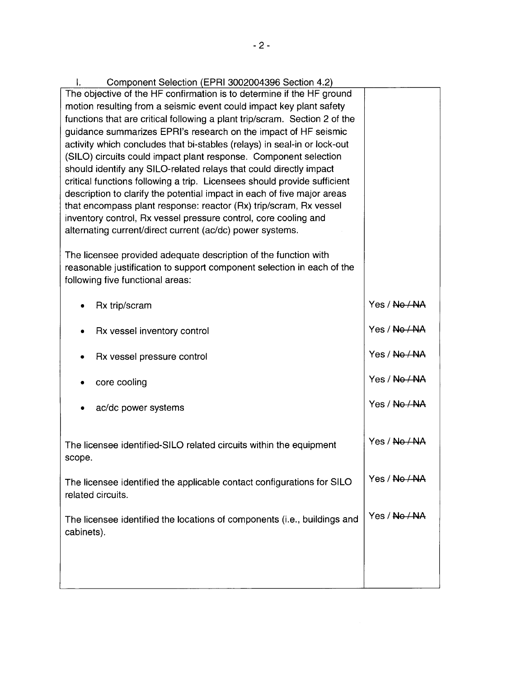| Component Selection (EPRI 3002004396 Section 4.2)<br>Ł.                                                                                       |               |
|-----------------------------------------------------------------------------------------------------------------------------------------------|---------------|
| The objective of the HF confirmation is to determine if the HF ground                                                                         |               |
| motion resulting from a seismic event could impact key plant safety                                                                           |               |
| functions that are critical following a plant trip/scram. Section 2 of the<br>guidance summarizes EPRI's research on the impact of HF seismic |               |
| activity which concludes that bi-stables (relays) in seal-in or lock-out                                                                      |               |
| (SILO) circuits could impact plant response. Component selection                                                                              |               |
| should identify any SILO-related relays that could directly impact                                                                            |               |
| critical functions following a trip. Licensees should provide sufficient                                                                      |               |
| description to clarify the potential impact in each of five major areas                                                                       |               |
| that encompass plant response: reactor (Rx) trip/scram, Rx vessel                                                                             |               |
| inventory control, Rx vessel pressure control, core cooling and<br>alternating current/direct current (ac/dc) power systems.                  |               |
|                                                                                                                                               |               |
| The licensee provided adequate description of the function with                                                                               |               |
| reasonable justification to support component selection in each of the                                                                        |               |
| following five functional areas:                                                                                                              |               |
| Rx trip/scram                                                                                                                                 | Yes / No / NA |
|                                                                                                                                               |               |
| Rx vessel inventory control                                                                                                                   | Yes / No / NA |
|                                                                                                                                               | Yes / No / NA |
| Rx vessel pressure control                                                                                                                    |               |
| core cooling                                                                                                                                  | Yes / No / NA |
|                                                                                                                                               |               |
| ac/dc power systems                                                                                                                           | Yes / No / NA |
|                                                                                                                                               |               |
| The licensee identified-SILO related circuits within the equipment                                                                            | Yes / No / NA |
| scope.                                                                                                                                        |               |
|                                                                                                                                               |               |
| The licensee identified the applicable contact configurations for SILO                                                                        | Yes / No / NA |
| related circuits.                                                                                                                             |               |
| The licensee identified the locations of components (i.e., buildings and                                                                      | Yes / No / NA |
| cabinets).                                                                                                                                    |               |
|                                                                                                                                               |               |
|                                                                                                                                               |               |
|                                                                                                                                               |               |
|                                                                                                                                               |               |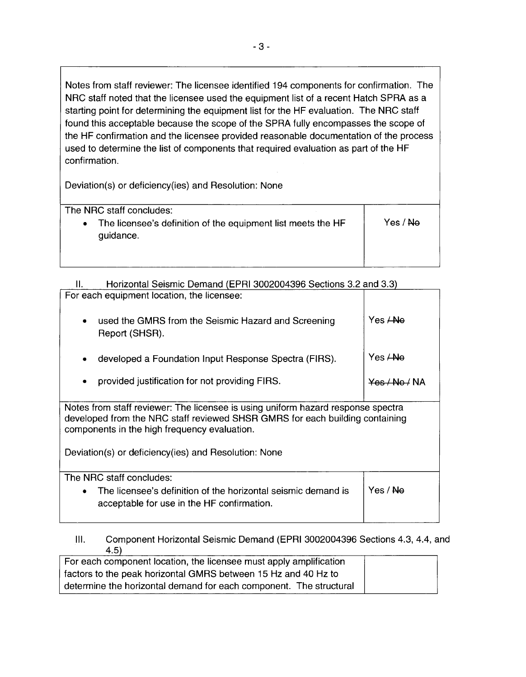Notes from staff reviewer: The licensee identified 194 components for confirmation. The NRC staff noted that the licensee used the equipment list of a recent Hatch SPRA as a starting point for determining the equipment list for the HF evaluation. The NRC staff found this acceptable because the scope of the SPRA fully encompasses the scope of the HF confirmation and the licensee provided reasonable documentation of the process used to determine the list of components that required evaluation as part of the HF confirmation.

Deviation(s) or deficiency(ies) and Resolution: None

| The NRC staff concludes:                                                               |                     |
|----------------------------------------------------------------------------------------|---------------------|
| The licensee's definition of the equipment list meets the HF<br>$\bullet$<br>guidance. | Yes / <del>No</del> |

| Horizontal Seismic Demand (EPRI 3002004396 Sections 3.2 and 3.3)                                                                                                                                                 |                          |  |  |  |
|------------------------------------------------------------------------------------------------------------------------------------------------------------------------------------------------------------------|--------------------------|--|--|--|
| For each equipment location, the licensee:                                                                                                                                                                       |                          |  |  |  |
| used the GMRS from the Seismic Hazard and Screening<br>$\bullet$<br>Report (SHSR).                                                                                                                               | Yes <del>/No</del>       |  |  |  |
| developed a Foundation Input Response Spectra (FIRS).<br>٠                                                                                                                                                       | Yes <del>/ No</del>      |  |  |  |
| provided justification for not providing FIRS.                                                                                                                                                                   | <del>Yes / No /</del> NA |  |  |  |
| Notes from staff reviewer: The licensee is using uniform hazard response spectra<br>developed from the NRC staff reviewed SHSR GMRS for each building containing<br>components in the high frequency evaluation. |                          |  |  |  |
| Deviation(s) or deficiency(ies) and Resolution: None                                                                                                                                                             |                          |  |  |  |
| The NRC staff concludes:                                                                                                                                                                                         |                          |  |  |  |
| The licensee's definition of the horizontal seismic demand is<br>$\bullet$<br>acceptable for use in the HF confirmation.                                                                                         | Yes / Ne                 |  |  |  |
|                                                                                                                                                                                                                  |                          |  |  |  |

Ill. Component Horizontal Seismic Demand (EPRI 3002004396 Sections 4.3, 4.4, and 4.5)

| For each component location, the licensee must apply amplification |  |
|--------------------------------------------------------------------|--|
| factors to the peak horizontal GMRS between 15 Hz and 40 Hz to     |  |
| determine the horizontal demand for each component. The structural |  |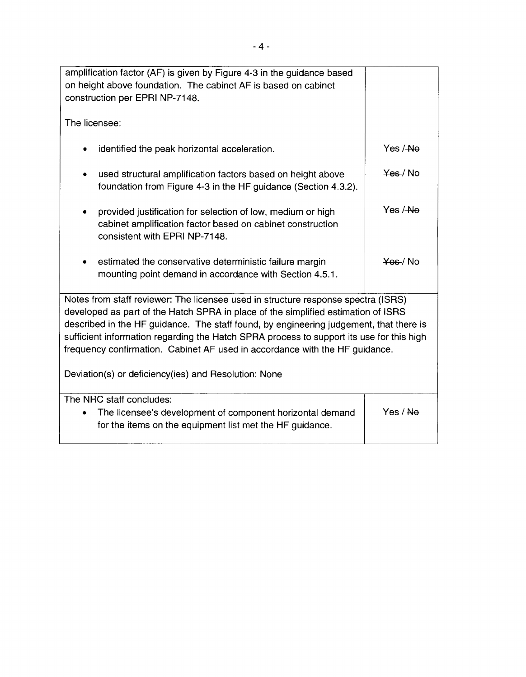| amplification factor (AF) is given by Figure 4-3 in the guidance based<br>on height above foundation. The cabinet AF is based on cabinet<br>construction per EPRI NP-7148.                                                                                                                                                                                                                                                                                                                          |          |  |
|-----------------------------------------------------------------------------------------------------------------------------------------------------------------------------------------------------------------------------------------------------------------------------------------------------------------------------------------------------------------------------------------------------------------------------------------------------------------------------------------------------|----------|--|
| The licensee:                                                                                                                                                                                                                                                                                                                                                                                                                                                                                       |          |  |
| identified the peak horizontal acceleration.<br>٠                                                                                                                                                                                                                                                                                                                                                                                                                                                   | Yes / Ne |  |
| used structural amplification factors based on height above<br>foundation from Figure 4-3 in the HF guidance (Section 4.3.2).                                                                                                                                                                                                                                                                                                                                                                       | Yes / No |  |
| provided justification for selection of low, medium or high<br>٠<br>cabinet amplification factor based on cabinet construction<br>consistent with EPRI NP-7148.                                                                                                                                                                                                                                                                                                                                     | Yes / Ne |  |
| estimated the conservative deterministic failure margin<br>mounting point demand in accordance with Section 4.5.1.                                                                                                                                                                                                                                                                                                                                                                                  | Yes / No |  |
| Notes from staff reviewer: The licensee used in structure response spectra (ISRS)<br>developed as part of the Hatch SPRA in place of the simplified estimation of ISRS<br>described in the HF guidance. The staff found, by engineering judgement, that there is<br>sufficient information regarding the Hatch SPRA process to support its use for this high<br>frequency confirmation. Cabinet AF used in accordance with the HF guidance.<br>Deviation(s) or deficiency(ies) and Resolution: None |          |  |
| The NRC staff concludes:                                                                                                                                                                                                                                                                                                                                                                                                                                                                            |          |  |
| The licensee's development of component horizontal demand<br>$\bullet$<br>for the items on the equipment list met the HF guidance.                                                                                                                                                                                                                                                                                                                                                                  | Yes / Ne |  |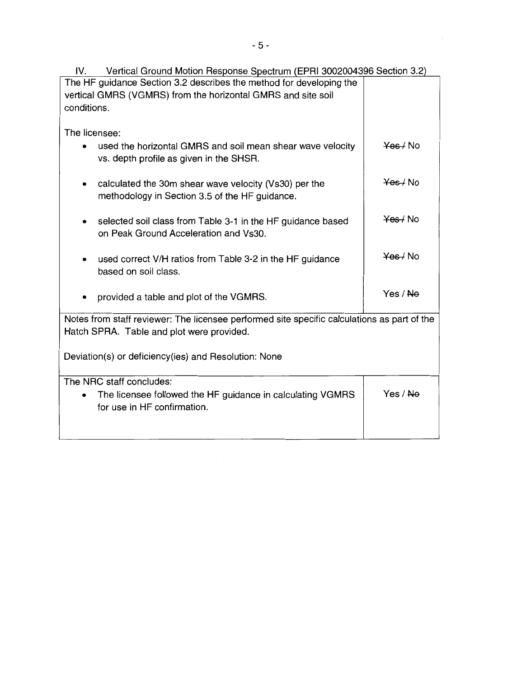| Vertical Ground Motion Response Spectrum (EPRI 3002004396 Section 3.2)<br>IV.               |                     |  |  |
|---------------------------------------------------------------------------------------------|---------------------|--|--|
| The HF guidance Section 3.2 describes the method for developing the                         |                     |  |  |
| vertical GMRS (VGMRS) from the horizontal GMRS and site soil                                |                     |  |  |
| conditions.                                                                                 |                     |  |  |
|                                                                                             |                     |  |  |
| The licensee:                                                                               |                     |  |  |
| used the horizontal GMRS and soil mean shear wave velocity                                  | Yes / No            |  |  |
| vs. depth profile as given in the SHSR.                                                     |                     |  |  |
|                                                                                             |                     |  |  |
| calculated the 30m shear wave velocity (Vs30) per the<br>$\bullet$                          | Yes / No            |  |  |
| methodology in Section 3.5 of the HF guidance.                                              |                     |  |  |
|                                                                                             |                     |  |  |
|                                                                                             | Yes / No            |  |  |
| selected soil class from Table 3-1 in the HF guidance based                                 |                     |  |  |
| on Peak Ground Acceleration and Vs30.                                                       |                     |  |  |
|                                                                                             | Yes / No            |  |  |
| used correct V/H ratios from Table 3-2 in the HF guidance                                   |                     |  |  |
| based on soil class.                                                                        |                     |  |  |
|                                                                                             |                     |  |  |
| provided a table and plot of the VGMRS.                                                     | Yes / <del>No</del> |  |  |
|                                                                                             |                     |  |  |
| Notes from staff reviewer: The licensee performed site specific calculations as part of the |                     |  |  |
| Hatch SPRA. Table and plot were provided.                                                   |                     |  |  |
|                                                                                             |                     |  |  |
| Deviation(s) or deficiency(ies) and Resolution: None                                        |                     |  |  |
|                                                                                             |                     |  |  |
| The NRC staff concludes:                                                                    |                     |  |  |
| The licensee followed the HF guidance in calculating VGMRS<br>٠                             | Yes / <del>No</del> |  |  |
| for use in HF confirmation.                                                                 |                     |  |  |
|                                                                                             |                     |  |  |
|                                                                                             |                     |  |  |
|                                                                                             |                     |  |  |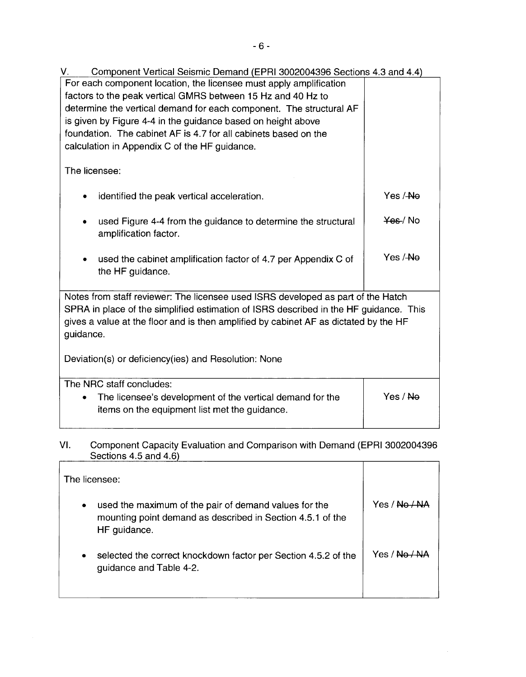V. Component Vertical Seismic Demand (EPRI 3002004396 Sections 4.3 and 4.4) For each component location, the licensee must apply amplification factors to the peak vertical GMRS between 15 Hz and 40 Hz to determine the vertical demand for each component. The structural AF is given by Figure 4-4 in the guidance based on height above foundation. The cabinet AF is 4.7 for all cabinets based on the calculation in Appendix C of the HF guidance. The licensee: identified the peak vertical acceleration. used Figure 4-4 from the guidance to determine the structural amplification factor. • used the cabinet amplification factor of 4. 7 per Appendix C of the HF guidance. Yes /-Ne ¥es-/ No Yes /-Ne Notes from staff reviewer: The licensee used ISRS developed as part of the Hatch SPRA in place of the simplified estimation of ISRS described in the HF guidance. This gives a value at the floor and is then amplified by cabinet AF as dictated by the HF guidance. Deviation(s) or deficiency(ies) and Resolution: None The NRC staff concludes:

| The licensee's development of the vertical demand for the | Yes / <del>No</del> |
|-----------------------------------------------------------|---------------------|
| items on the equipment list met the guidance.             |                     |

VI. Component Capacity Evaluation and Comparison with Demand (EPRI 3002004396 Sections 4.5 and 4.6)

|   | The licensee:                                                                                                                       |         |
|---|-------------------------------------------------------------------------------------------------------------------------------------|---------|
| ٠ | used the maximum of the pair of demand values for the<br>mounting point demand as described in Section 4.5.1 of the<br>HF guidance. | Yes /   |
|   | selected the correct knockdown factor per Section 4.5.2 of the<br>guidance and Table 4-2.                                           | 4 \ 2AY |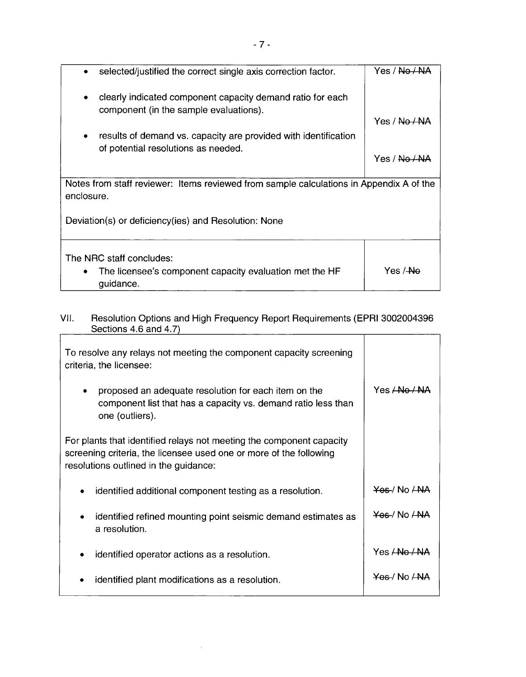| selected/justified the correct single axis correction factor.<br>$\bullet$                                  | Yes / <del>No / N/</del> |
|-------------------------------------------------------------------------------------------------------------|--------------------------|
| clearly indicated component capacity demand ratio for each<br>٠<br>component (in the sample evaluations).   |                          |
|                                                                                                             | Yes / <del>No / NA</del> |
| results of demand vs. capacity are provided with identification<br>٠<br>of potential resolutions as needed. |                          |
|                                                                                                             | Yes / <del>No / NA</del> |
| Notes from staff reviewer: Items reviewed from sample calculations in Appendix A of the<br>enclosure.       |                          |
| Deviation(s) or deficiency(ies) and Resolution: None                                                        |                          |
| The NRC staff concludes:<br>The licensee's component capacity evaluation met the HF<br>guidance.            | Yes / <del>No</del>      |

## VII. Resolution Options and High Frequency Report Requirements (EPRI 3002004396 Sections 4.6 and 4. 7)

 $\overline{1}$ 

| To resolve any relays not meeting the component capacity screening<br>criteria, the licensee:                                                                                       |                          |
|-------------------------------------------------------------------------------------------------------------------------------------------------------------------------------------|--------------------------|
| proposed an adequate resolution for each item on the<br>component list that has a capacity vs. demand ratio less than<br>one (outliers).                                            | Yes <del>/ No / N</del>  |
| For plants that identified relays not meeting the component capacity<br>screening criteria, the licensee used one or more of the following<br>resolutions outlined in the guidance: |                          |
| identified additional component testing as a resolution.<br>٠                                                                                                                       | <del>Yes</del> /No ANA   |
| identified refined mounting point seismic demand estimates as<br>٠<br>a resolution.                                                                                                 | Yes / No ANA             |
| identified operator actions as a resolution.                                                                                                                                        | Yes <del>/ No / NA</del> |
| identified plant modifications as a resolution.                                                                                                                                     | $YBE$ No $\angle$ NA     |

 $\bar{z}$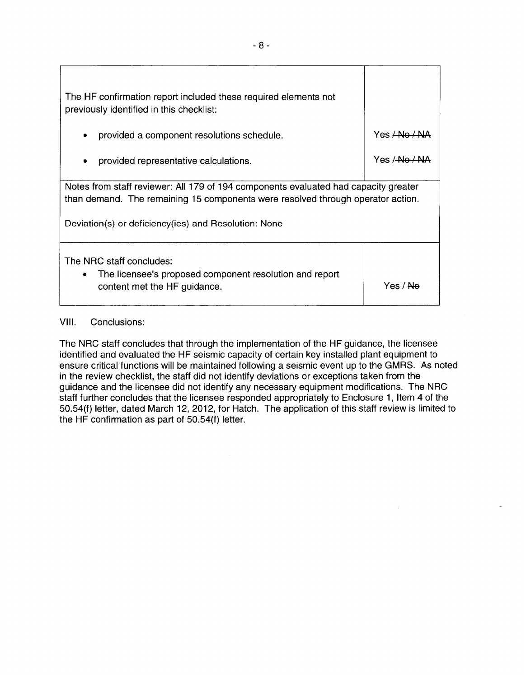| The HF confirmation report included these required elements not<br>previously identified in this checklist:                                                                                                                    |                        |  |
|--------------------------------------------------------------------------------------------------------------------------------------------------------------------------------------------------------------------------------|------------------------|--|
| provided a component resolutions schedule.                                                                                                                                                                                     | Yes <del>ANo ANA</del> |  |
| provided representative calculations.                                                                                                                                                                                          | Yes / No / NA          |  |
| Notes from staff reviewer: All 179 of 194 components evaluated had capacity greater<br>than demand. The remaining 15 components were resolved through operator action.<br>Deviation(s) or deficiency(ies) and Resolution: None |                        |  |
| The NRC staff concludes:<br>The licensee's proposed component resolution and report<br>content met the HF guidance.                                                                                                            | Yes / <del>No</del>    |  |

### VIII. Conclusions:

The NRC staff concludes that through the implementation of the HF guidance, the licensee identified and evaluated the **HF** seismic capacity of certain key installed plant equipment to ensure critical functions will be maintained following a seismic event up to the GMRS. As noted in the review checklist, the staff did not identify deviations or exceptions taken from the guidance and the licensee did not identify any necessary equipment modifications. The NRC staff further concludes that the licensee responded appropriately to Enclosure 1, Item 4 of the 50.54(f) letter, dated March 12, 2012, tor Hatch. The application of this staff review is limited to the **HF** confirmation as part of 50.54(f) letter.